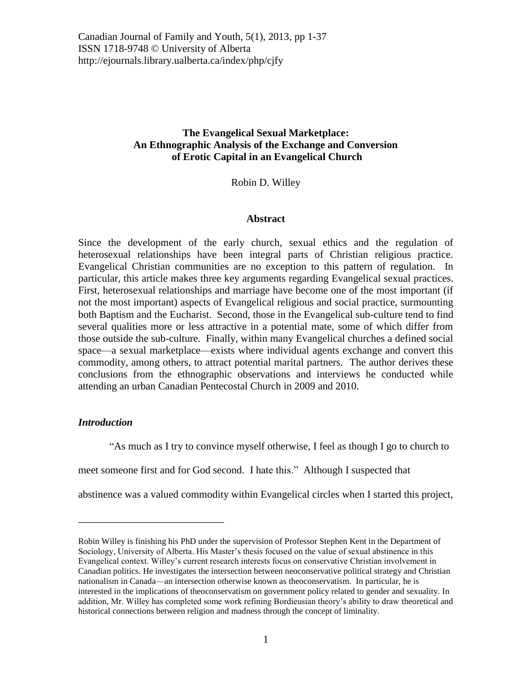# **The Evangelical Sexual Marketplace: An Ethnographic Analysis of the Exchange and Conversion of Erotic Capital in an Evangelical Church**

Robin D. Willey

# **Abstract**

Since the development of the early church, sexual ethics and the regulation of heterosexual relationships have been integral parts of Christian religious practice. Evangelical Christian communities are no exception to this pattern of regulation. In particular, this article makes three key arguments regarding Evangelical sexual practices. First, heterosexual relationships and marriage have become one of the most important (if not the most important) aspects of Evangelical religious and social practice, surmounting both Baptism and the Eucharist. Second, those in the Evangelical sub-culture tend to find several qualities more or less attractive in a potential mate, some of which differ from those outside the sub-culture. Finally, within many Evangelical churches a defined social space—a sexual marketplace—exists where individual agents exchange and convert this commodity, among others, to attract potential marital partners. The author derives these conclusions from the ethnographic observations and interviews he conducted while attending an urban Canadian Pentecostal Church in 2009 and 2010.

# *Introduction*

\_\_\_\_\_\_\_\_\_\_\_\_\_\_\_\_\_\_\_\_\_\_\_\_\_\_\_\_

"As much as I try to convince myself otherwise, I feel as though I go to church to

meet someone first and for God second. I hate this." Although I suspected that

abstinence was a valued commodity within Evangelical circles when I started this project,

Robin Willey is finishing his PhD under the supervision of Professor Stephen Kent in the Department of Sociology, University of Alberta. His Master's thesis focused on the value of sexual abstinence in this Evangelical context. Willey's current research interests focus on conservative Christian involvement in Canadian politics. He investigates the intersection between neoconservative political strategy and Christian nationalism in Canada—an intersection otherwise known as theoconservatism. In particular, he is interested in the implications of theoconservatism on government policy related to gender and sexuality. In addition, Mr. Willey has completed some work refining Bordieusian theory's ability to draw theoretical and historical connections between religion and madness through the concept of liminality.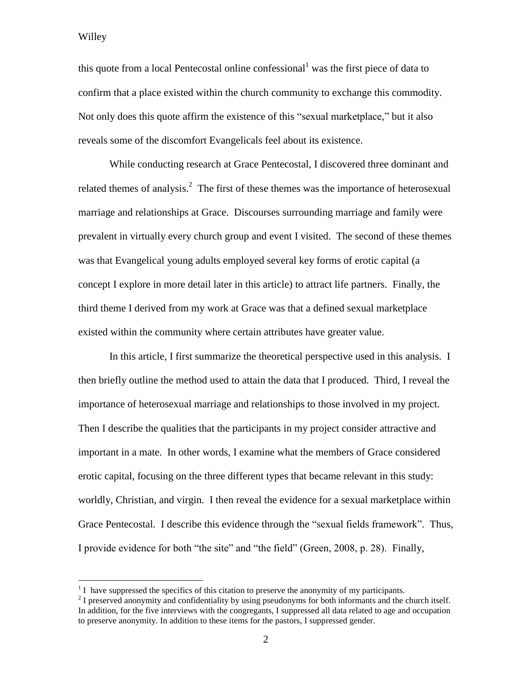this quote from a local Pentecostal online confessional was the first piece of data to confirm that a place existed within the church community to exchange this commodity. Not only does this quote affirm the existence of this "sexual marketplace," but it also reveals some of the discomfort Evangelicals feel about its existence.

While conducting research at Grace Pentecostal, I discovered three dominant and related themes of analysis.<sup>2</sup> The first of these themes was the importance of heterosexual marriage and relationships at Grace. Discourses surrounding marriage and family were prevalent in virtually every church group and event I visited. The second of these themes was that Evangelical young adults employed several key forms of erotic capital (a concept I explore in more detail later in this article) to attract life partners. Finally, the third theme I derived from my work at Grace was that a defined sexual marketplace existed within the community where certain attributes have greater value.

In this article, I first summarize the theoretical perspective used in this analysis. I then briefly outline the method used to attain the data that I produced. Third, I reveal the importance of heterosexual marriage and relationships to those involved in my project. Then I describe the qualities that the participants in my project consider attractive and important in a mate. In other words, I examine what the members of Grace considered erotic capital, focusing on the three different types that became relevant in this study: worldly, Christian, and virgin. I then reveal the evidence for a sexual marketplace within Grace Pentecostal. I describe this evidence through the "sexual fields framework". Thus, I provide evidence for both "the site" and "the field" (Green, 2008, p. 28). Finally,

 1 I have suppressed the specifics of this citation to preserve the anonymity of my participants.

<sup>&</sup>lt;sup>2</sup> I preserved anonymity and confidentiality by using pseudonyms for both informants and the church itself. In addition, for the five interviews with the congregants, I suppressed all data related to age and occupation to preserve anonymity. In addition to these items for the pastors, I suppressed gender.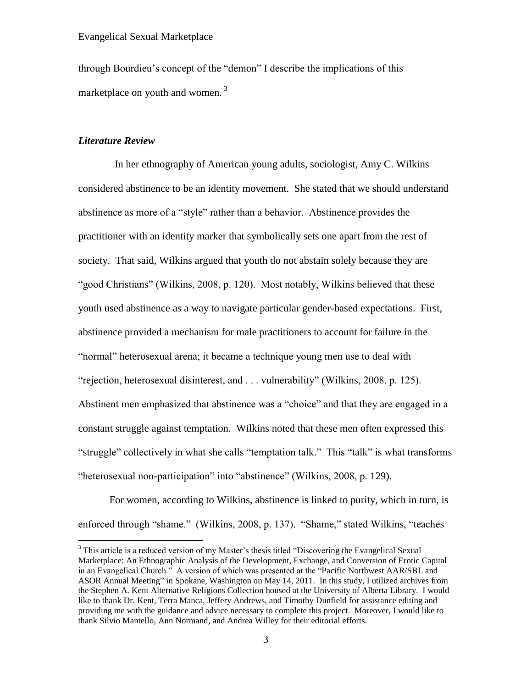through Bourdieu's concept of the "demon" I describe the implications of this marketplace on youth and women.<sup>3</sup>

### *Literature Review*

 $\overline{a}$ 

 In her ethnography of American young adults, sociologist, Amy C. Wilkins considered abstinence to be an identity movement. She stated that we should understand abstinence as more of a "style" rather than a behavior. Abstinence provides the practitioner with an identity marker that symbolically sets one apart from the rest of society. That said, Wilkins argued that youth do not abstain solely because they are "good Christians" (Wilkins, 2008, p. 120). Most notably, Wilkins believed that these youth used abstinence as a way to navigate particular gender-based expectations. First, abstinence provided a mechanism for male practitioners to account for failure in the "normal" heterosexual arena; it became a technique young men use to deal with "rejection, heterosexual disinterest, and . . . vulnerability" (Wilkins, 2008. p. 125). Abstinent men emphasized that abstinence was a "choice" and that they are engaged in a constant struggle against temptation. Wilkins noted that these men often expressed this "struggle" collectively in what she calls "temptation talk." This "talk" is what transforms "heterosexual non-participation" into "abstinence" (Wilkins, 2008, p. 129).

For women, according to Wilkins, abstinence is linked to purity, which in turn, is enforced through "shame." (Wilkins, 2008, p. 137). "Shame," stated Wilkins, "teaches

 $3$  This article is a reduced version of my Master's thesis titled "Discovering the Evangelical Sexual Marketplace: An Ethnographic Analysis of the Development, Exchange, and Conversion of Erotic Capital in an Evangelical Church." A version of which was presented at the "Pacific Northwest AAR/SBL and ASOR Annual Meeting" in Spokane, Washington on May 14, 2011. In this study, I utilized archives from the Stephen A. Kent Alternative Religions Collection housed at the University of Alberta Library. I would like to thank Dr. Kent, Terra Manca, Jeffery Andrews, and Timothy Dunfield for assistance editing and providing me with the guidance and advice necessary to complete this project. Moreover, I would like to thank Silvio Mantello, Ann Normand, and Andrea Willey for their editorial efforts.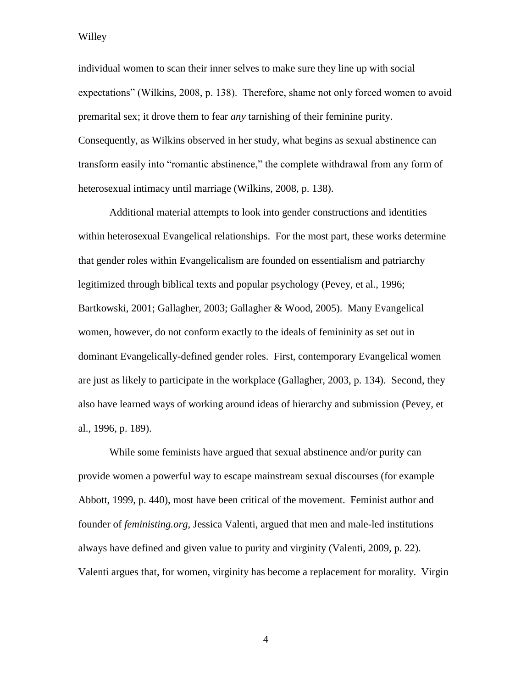individual women to scan their inner selves to make sure they line up with social expectations" (Wilkins, 2008, p. 138). Therefore, shame not only forced women to avoid premarital sex; it drove them to fear *any* tarnishing of their feminine purity. Consequently, as Wilkins observed in her study, what begins as sexual abstinence can transform easily into "romantic abstinence," the complete withdrawal from any form of heterosexual intimacy until marriage (Wilkins, 2008, p. 138).

Additional material attempts to look into gender constructions and identities within heterosexual Evangelical relationships. For the most part, these works determine that gender roles within Evangelicalism are founded on essentialism and patriarchy legitimized through biblical texts and popular psychology (Pevey, et al., 1996; Bartkowski, 2001; Gallagher, 2003; Gallagher & Wood, 2005). Many Evangelical women, however, do not conform exactly to the ideals of femininity as set out in dominant Evangelically-defined gender roles. First, contemporary Evangelical women are just as likely to participate in the workplace (Gallagher, 2003, p. 134). Second, they also have learned ways of working around ideas of hierarchy and submission (Pevey, et al., 1996, p. 189).

While some feminists have argued that sexual abstinence and/or purity can provide women a powerful way to escape mainstream sexual discourses (for example Abbott, 1999, p. 440), most have been critical of the movement. Feminist author and founder of *feministing.org,* Jessica Valenti, argued that men and male-led institutions always have defined and given value to purity and virginity (Valenti, 2009, p. 22). Valenti argues that, for women, virginity has become a replacement for morality. Virgin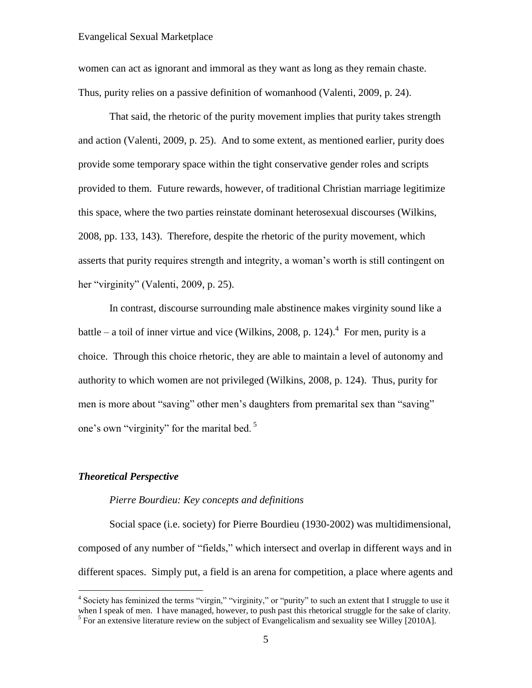women can act as ignorant and immoral as they want as long as they remain chaste. Thus, purity relies on a passive definition of womanhood (Valenti, 2009, p. 24).

That said, the rhetoric of the purity movement implies that purity takes strength and action (Valenti, 2009, p. 25). And to some extent, as mentioned earlier, purity does provide some temporary space within the tight conservative gender roles and scripts provided to them. Future rewards, however, of traditional Christian marriage legitimize this space, where the two parties reinstate dominant heterosexual discourses (Wilkins, 2008, pp. 133, 143). Therefore, despite the rhetoric of the purity movement, which asserts that purity requires strength and integrity, a woman's worth is still contingent on her "virginity" (Valenti, 2009, p. 25).

In contrast, discourse surrounding male abstinence makes virginity sound like a battle – a toil of inner virtue and vice (Wilkins, 2008, p. 124). <sup>4</sup> For men, purity is a choice. Through this choice rhetoric, they are able to maintain a level of autonomy and authority to which women are not privileged (Wilkins, 2008, p. 124). Thus, purity for men is more about "saving" other men's daughters from premarital sex than "saving" one's own "virginity" for the marital bed. <sup>5</sup>

# *Theoretical Perspective*

### *Pierre Bourdieu: Key concepts and definitions*

Social space (i.e. society) for Pierre Bourdieu (1930-2002) was multidimensional, composed of any number of "fields," which intersect and overlap in different ways and in different spaces. Simply put, a field is an arena for competition, a place where agents and

 4 Society has feminized the terms "virgin," "virginity," or "purity" to such an extent that I struggle to use it when I speak of men. I have managed, however, to push past this rhetorical struggle for the sake of clarity.

<sup>&</sup>lt;sup>5</sup> For an extensive literature review on the subject of Evangelicalism and sexuality see Willey [2010A].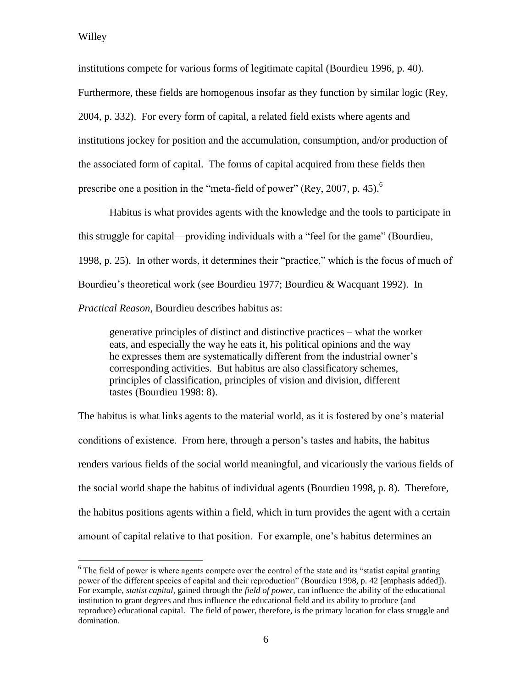$\overline{a}$ 

institutions compete for various forms of legitimate capital (Bourdieu 1996, p. 40). Furthermore, these fields are homogenous insofar as they function by similar logic (Rey, 2004, p. 332). For every form of capital, a related field exists where agents and institutions jockey for position and the accumulation, consumption, and/or production of the associated form of capital. The forms of capital acquired from these fields then prescribe one a position in the "meta-field of power" (Rey, 2007, p. 45).<sup>6</sup>

Habitus is what provides agents with the knowledge and the tools to participate in this struggle for capital—providing individuals with a "feel for the game" (Bourdieu, 1998, p. 25). In other words, it determines their "practice," which is the focus of much of Bourdieu's theoretical work (see Bourdieu 1977; Bourdieu & Wacquant 1992). In *Practical Reason,* Bourdieu describes habitus as:

generative principles of distinct and distinctive practices – what the worker eats, and especially the way he eats it, his political opinions and the way he expresses them are systematically different from the industrial owner's corresponding activities. But habitus are also classificatory schemes, principles of classification, principles of vision and division, different tastes (Bourdieu 1998: 8).

The habitus is what links agents to the material world, as it is fostered by one's material conditions of existence. From here, through a person's tastes and habits, the habitus renders various fields of the social world meaningful, and vicariously the various fields of the social world shape the habitus of individual agents (Bourdieu 1998, p. 8). Therefore, the habitus positions agents within a field, which in turn provides the agent with a certain amount of capital relative to that position. For example, one's habitus determines an

<sup>&</sup>lt;sup>6</sup> The field of power is where agents compete over the control of the state and its "statist capital granting power of the different species of capital and their reproduction" (Bourdieu 1998, p. 42 [emphasis added]). For example, *statist capital,* gained through the *field of power,* can influence the ability of the educational institution to grant degrees and thus influence the educational field and its ability to produce (and reproduce) educational capital. The field of power, therefore, is the primary location for class struggle and domination.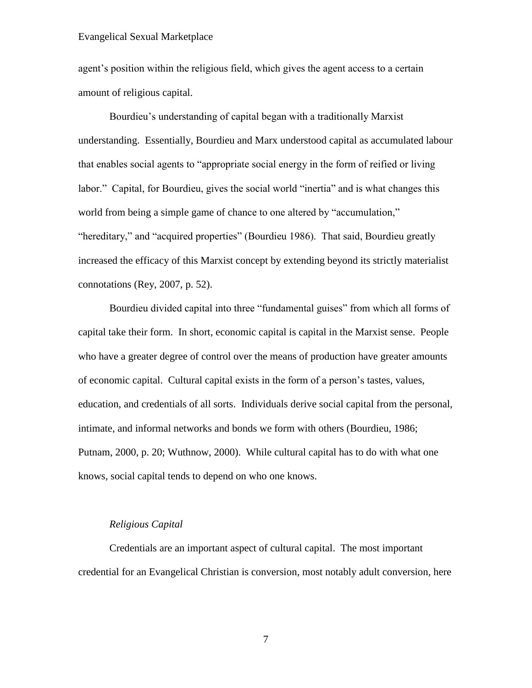agent's position within the religious field, which gives the agent access to a certain amount of religious capital.

Bourdieu's understanding of capital began with a traditionally Marxist understanding. Essentially, Bourdieu and Marx understood capital as accumulated labour that enables social agents to "appropriate social energy in the form of reified or living labor." Capital, for Bourdieu, gives the social world "inertia" and is what changes this world from being a simple game of chance to one altered by "accumulation," "hereditary," and "acquired properties" (Bourdieu 1986). That said, Bourdieu greatly increased the efficacy of this Marxist concept by extending beyond its strictly materialist connotations (Rey, 2007, p. 52).

Bourdieu divided capital into three "fundamental guises" from which all forms of capital take their form. In short, economic capital is capital in the Marxist sense. People who have a greater degree of control over the means of production have greater amounts of economic capital. Cultural capital exists in the form of a person's tastes, values, education, and credentials of all sorts. Individuals derive social capital from the personal, intimate, and informal networks and bonds we form with others (Bourdieu, 1986; Putnam, 2000, p. 20; Wuthnow, 2000). While cultural capital has to do with what one knows, social capital tends to depend on who one knows.

# *Religious Capital*

Credentials are an important aspect of cultural capital. The most important credential for an Evangelical Christian is conversion, most notably adult conversion, here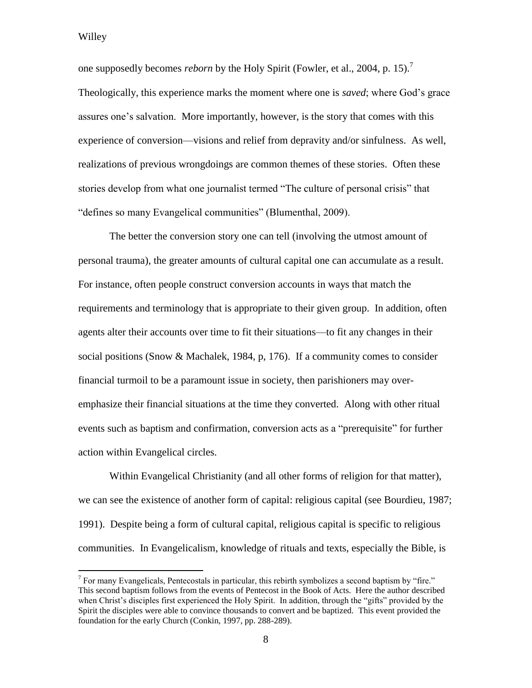one supposedly becomes *reborn* by the Holy Spirit (Fowler, et al., 2004, p. 15).<sup>7</sup> Theologically, this experience marks the moment where one is *saved*; where God's grace assures one's salvation. More importantly, however, is the story that comes with this experience of conversion—visions and relief from depravity and/or sinfulness. As well, realizations of previous wrongdoings are common themes of these stories. Often these stories develop from what one journalist termed "The culture of personal crisis" that "defines so many Evangelical communities" (Blumenthal, 2009).

The better the conversion story one can tell (involving the utmost amount of personal trauma), the greater amounts of cultural capital one can accumulate as a result. For instance, often people construct conversion accounts in ways that match the requirements and terminology that is appropriate to their given group. In addition, often agents alter their accounts over time to fit their situations—to fit any changes in their social positions (Snow & Machalek, 1984, p, 176). If a community comes to consider financial turmoil to be a paramount issue in society, then parishioners may overemphasize their financial situations at the time they converted. Along with other ritual events such as baptism and confirmation, conversion acts as a "prerequisite" for further action within Evangelical circles.

Within Evangelical Christianity (and all other forms of religion for that matter), we can see the existence of another form of capital: religious capital (see Bourdieu, 1987; 1991). Despite being a form of cultural capital, religious capital is specific to religious communities. In Evangelicalism, knowledge of rituals and texts, especially the Bible, is

<sup>&</sup>lt;sup>7</sup> For many Evangelicals, Pentecostals in particular, this rebirth symbolizes a second baptism by "fire." This second baptism follows from the events of Pentecost in the Book of Acts. Here the author described when Christ's disciples first experienced the Holy Spirit. In addition, through the "gifts" provided by the Spirit the disciples were able to convince thousands to convert and be baptized. This event provided the foundation for the early Church (Conkin, 1997, pp. 288-289).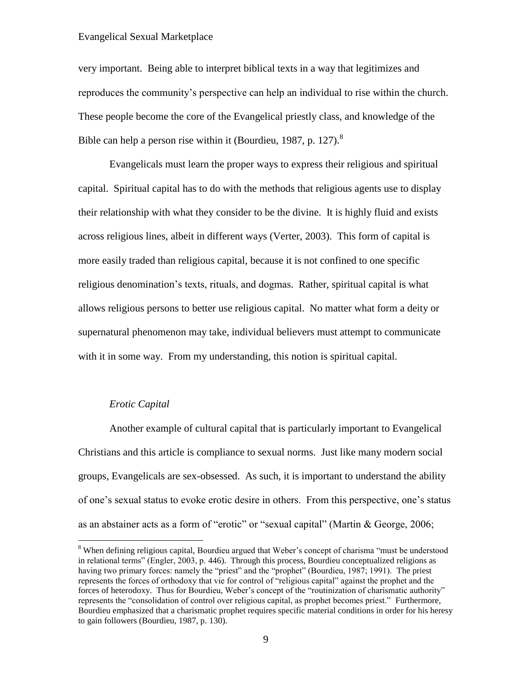very important. Being able to interpret biblical texts in a way that legitimizes and reproduces the community's perspective can help an individual to rise within the church. These people become the core of the Evangelical priestly class, and knowledge of the Bible can help a person rise within it (Bourdieu, 1987, p. 127).<sup>8</sup>

Evangelicals must learn the proper ways to express their religious and spiritual capital. Spiritual capital has to do with the methods that religious agents use to display their relationship with what they consider to be the divine. It is highly fluid and exists across religious lines, albeit in different ways (Verter, 2003). This form of capital is more easily traded than religious capital, because it is not confined to one specific religious denomination's texts, rituals, and dogmas. Rather, spiritual capital is what allows religious persons to better use religious capital. No matter what form a deity or supernatural phenomenon may take, individual believers must attempt to communicate with it in some way. From my understanding, this notion is spiritual capital.

### *Erotic Capital*

 $\overline{a}$ 

Another example of cultural capital that is particularly important to Evangelical Christians and this article is compliance to sexual norms. Just like many modern social groups, Evangelicals are sex-obsessed. As such, it is important to understand the ability of one's sexual status to evoke erotic desire in others. From this perspective, one's status as an abstainer acts as a form of "erotic" or "sexual capital" (Martin & George, 2006;

<sup>8</sup> When defining religious capital, Bourdieu argued that Weber's concept of charisma "must be understood in relational terms" (Engler, 2003, p. 446). Through this process, Bourdieu conceptualized religions as having two primary forces: namely the "priest" and the "prophet" (Bourdieu, 1987; 1991). The priest represents the forces of orthodoxy that vie for control of "religious capital" against the prophet and the forces of heterodoxy. Thus for Bourdieu, Weber's concept of the "routinization of charismatic authority" represents the "consolidation of control over religious capital, as prophet becomes priest." Furthermore, Bourdieu emphasized that a charismatic prophet requires specific material conditions in order for his heresy to gain followers (Bourdieu, 1987, p. 130).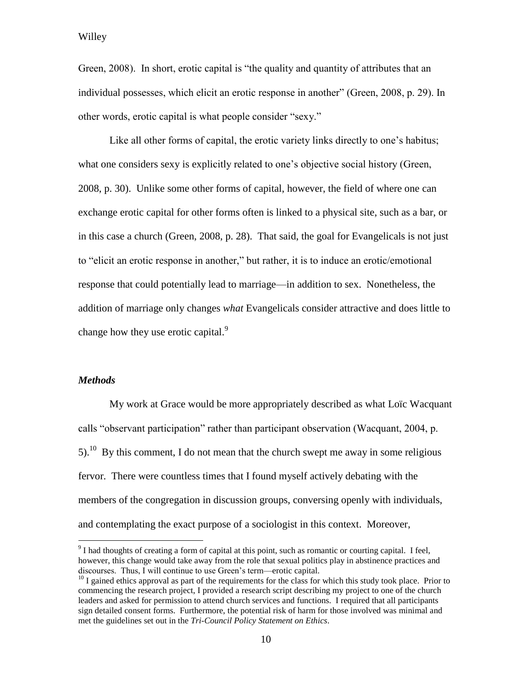Green, 2008). In short, erotic capital is "the quality and quantity of attributes that an individual possesses, which elicit an erotic response in another" (Green, 2008, p. 29). In other words, erotic capital is what people consider "sexy."

Like all other forms of capital, the erotic variety links directly to one's habitus; what one considers sexy is explicitly related to one's objective social history (Green, 2008, p. 30). Unlike some other forms of capital, however, the field of where one can exchange erotic capital for other forms often is linked to a physical site, such as a bar, or in this case a church (Green, 2008, p. 28). That said, the goal for Evangelicals is not just to "elicit an erotic response in another," but rather, it is to induce an erotic/emotional response that could potentially lead to marriage—in addition to sex. Nonetheless, the addition of marriage only changes *what* Evangelicals consider attractive and does little to change how they use erotic capital.<sup>9</sup>

# *Methods*

 $\overline{a}$ 

My work at Grace would be more appropriately described as what Loïc Wacquant calls "observant participation" rather than participant observation (Wacquant, 2004, p. 5).<sup>10</sup> By this comment, I do not mean that the church swept me away in some religious fervor. There were countless times that I found myself actively debating with the members of the congregation in discussion groups, conversing openly with individuals, and contemplating the exact purpose of a sociologist in this context. Moreover,

<sup>&</sup>lt;sup>9</sup> I had thoughts of creating a form of capital at this point, such as romantic or courting capital. I feel, however, this change would take away from the role that sexual politics play in abstinence practices and discourses. Thus, I will continue to use Green's term—erotic capital.

 $10$  I gained ethics approval as part of the requirements for the class for which this study took place. Prior to commencing the research project, I provided a research script describing my project to one of the church leaders and asked for permission to attend church services and functions. I required that all participants sign detailed consent forms. Furthermore, the potential risk of harm for those involved was minimal and met the guidelines set out in the *Tri-Council Policy Statement on Ethics*.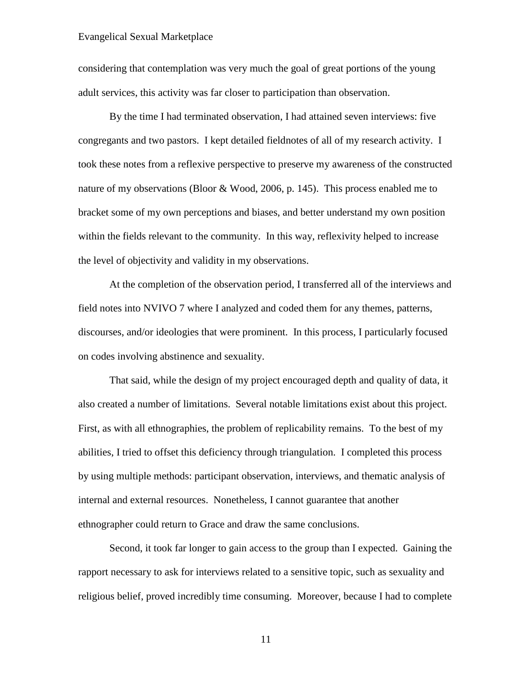considering that contemplation was very much the goal of great portions of the young adult services, this activity was far closer to participation than observation.

By the time I had terminated observation, I had attained seven interviews: five congregants and two pastors. I kept detailed fieldnotes of all of my research activity. I took these notes from a reflexive perspective to preserve my awareness of the constructed nature of my observations (Bloor & Wood, 2006, p. 145). This process enabled me to bracket some of my own perceptions and biases, and better understand my own position within the fields relevant to the community. In this way, reflexivity helped to increase the level of objectivity and validity in my observations.

At the completion of the observation period, I transferred all of the interviews and field notes into NVIVO 7 where I analyzed and coded them for any themes, patterns, discourses, and/or ideologies that were prominent. In this process, I particularly focused on codes involving abstinence and sexuality.

That said, while the design of my project encouraged depth and quality of data, it also created a number of limitations. Several notable limitations exist about this project. First, as with all ethnographies, the problem of replicability remains. To the best of my abilities, I tried to offset this deficiency through triangulation. I completed this process by using multiple methods: participant observation, interviews, and thematic analysis of internal and external resources. Nonetheless, I cannot guarantee that another ethnographer could return to Grace and draw the same conclusions.

Second, it took far longer to gain access to the group than I expected. Gaining the rapport necessary to ask for interviews related to a sensitive topic, such as sexuality and religious belief, proved incredibly time consuming. Moreover, because I had to complete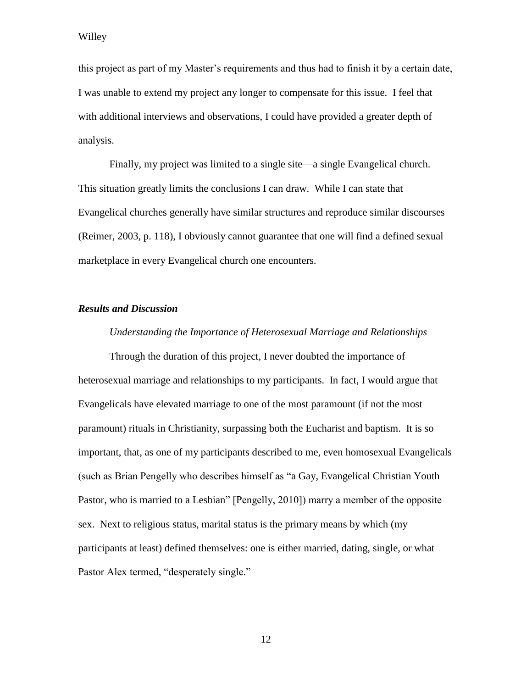this project as part of my Master's requirements and thus had to finish it by a certain date, I was unable to extend my project any longer to compensate for this issue. I feel that with additional interviews and observations, I could have provided a greater depth of analysis.

Finally, my project was limited to a single site—a single Evangelical church. This situation greatly limits the conclusions I can draw. While I can state that Evangelical churches generally have similar structures and reproduce similar discourses (Reimer, 2003, p. 118), I obviously cannot guarantee that one will find a defined sexual marketplace in every Evangelical church one encounters.

# *Results and Discussion*

# *Understanding the Importance of Heterosexual Marriage and Relationships*

Through the duration of this project, I never doubted the importance of heterosexual marriage and relationships to my participants. In fact, I would argue that Evangelicals have elevated marriage to one of the most paramount (if not the most paramount) rituals in Christianity, surpassing both the Eucharist and baptism. It is so important, that, as one of my participants described to me, even homosexual Evangelicals (such as Brian Pengelly who describes himself as "a Gay, Evangelical Christian Youth Pastor, who is married to a Lesbian" [Pengelly, 2010]) marry a member of the opposite sex. Next to religious status, marital status is the primary means by which (my participants at least) defined themselves: one is either married, dating, single, or what Pastor Alex termed, "desperately single."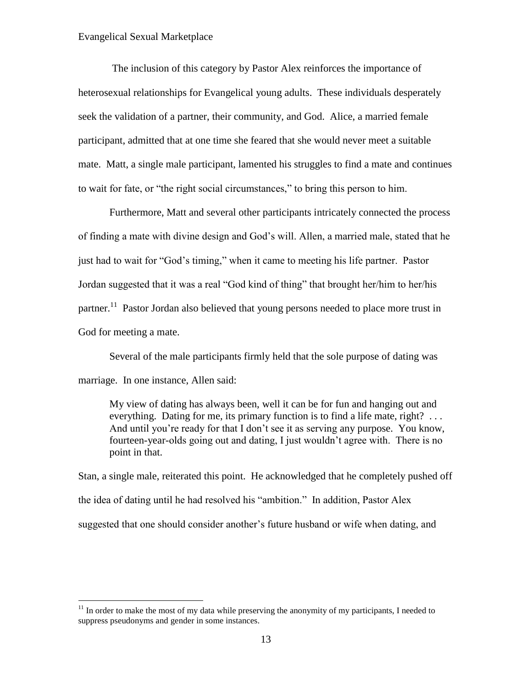$\overline{a}$ 

The inclusion of this category by Pastor Alex reinforces the importance of heterosexual relationships for Evangelical young adults. These individuals desperately seek the validation of a partner, their community, and God. Alice, a married female participant, admitted that at one time she feared that she would never meet a suitable mate. Matt, a single male participant, lamented his struggles to find a mate and continues to wait for fate, or "the right social circumstances," to bring this person to him.

Furthermore, Matt and several other participants intricately connected the process of finding a mate with divine design and God's will. Allen, a married male, stated that he just had to wait for "God's timing," when it came to meeting his life partner. Pastor Jordan suggested that it was a real "God kind of thing" that brought her/him to her/his partner.<sup>11</sup> Pastor Jordan also believed that young persons needed to place more trust in God for meeting a mate.

Several of the male participants firmly held that the sole purpose of dating was marriage. In one instance, Allen said:

My view of dating has always been, well it can be for fun and hanging out and everything. Dating for me, its primary function is to find a life mate, right? ... And until you're ready for that I don't see it as serving any purpose. You know, fourteen-year-olds going out and dating, I just wouldn't agree with. There is no point in that.

Stan, a single male, reiterated this point. He acknowledged that he completely pushed off the idea of dating until he had resolved his "ambition." In addition, Pastor Alex suggested that one should consider another's future husband or wife when dating, and

 $11$  In order to make the most of my data while preserving the anonymity of my participants, I needed to suppress pseudonyms and gender in some instances.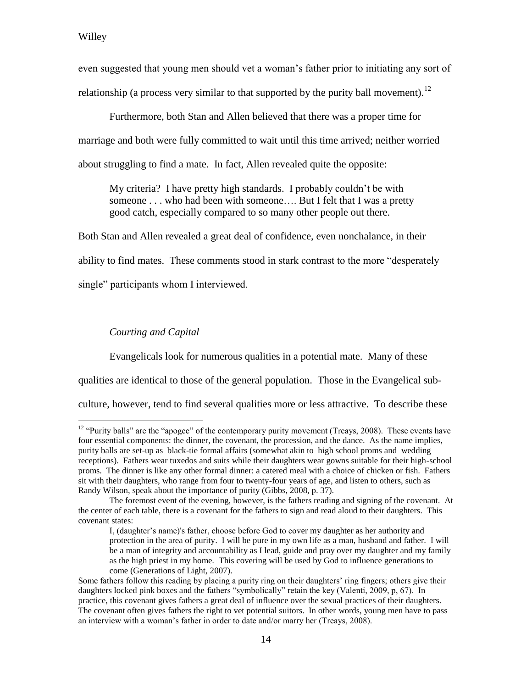$\overline{a}$ 

even suggested that young men should vet a woman's father prior to initiating any sort of relationship (a process very similar to that supported by the purity ball movement).<sup>12</sup>

Furthermore, both Stan and Allen believed that there was a proper time for marriage and both were fully committed to wait until this time arrived; neither worried about struggling to find a mate. In fact, Allen revealed quite the opposite:

My criteria? I have pretty high standards. I probably couldn't be with someone . . . who had been with someone.... But I felt that I was a pretty good catch, especially compared to so many other people out there.

Both Stan and Allen revealed a great deal of confidence, even nonchalance, in their ability to find mates. These comments stood in stark contrast to the more "desperately single" participants whom I interviewed.

# *Courting and Capital*

Evangelicals look for numerous qualities in a potential mate. Many of these qualities are identical to those of the general population. Those in the Evangelical subculture, however, tend to find several qualities more or less attractive. To describe these

<sup>&</sup>lt;sup>12</sup> "Purity balls" are the "apogee" of the contemporary purity movement (Treays, 2008). These events have four essential components: the dinner, the covenant, the procession, and the dance. As the name implies, purity balls are set-up as black-tie formal affairs (somewhat akin to high school proms and wedding receptions). Fathers wear tuxedos and suits while their daughters wear gowns suitable for their high-school proms. The dinner is like any other formal dinner: a catered meal with a choice of chicken or fish. Fathers sit with their daughters, who range from four to twenty-four years of age, and listen to others, such as Randy Wilson, speak about the importance of purity (Gibbs, 2008, p. 37).

The foremost event of the evening, however, is the fathers reading and signing of the covenant. At the center of each table, there is a covenant for the fathers to sign and read aloud to their daughters. This covenant states:

I, (daughter's name)'s father, choose before God to cover my daughter as her authority and protection in the area of purity. I will be pure in my own life as a man, husband and father. I will be a man of integrity and accountability as I lead, guide and pray over my daughter and my family as the high priest in my home. This covering will be used by God to influence generations to come (Generations of Light, 2007).

Some fathers follow this reading by placing a purity ring on their daughters' ring fingers; others give their daughters locked pink boxes and the fathers "symbolically" retain the key (Valenti, 2009, p, 67). In practice, this covenant gives fathers a great deal of influence over the sexual practices of their daughters. The covenant often gives fathers the right to vet potential suitors. In other words, young men have to pass an interview with a woman's father in order to date and/or marry her (Treays, 2008).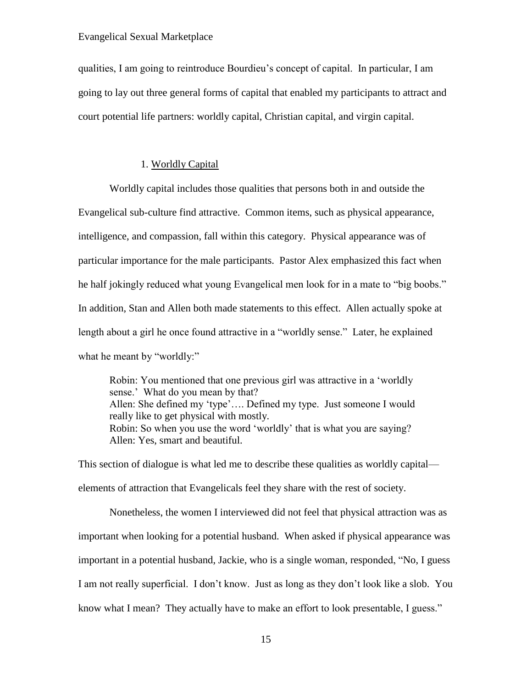qualities, I am going to reintroduce Bourdieu's concept of capital. In particular, I am going to lay out three general forms of capital that enabled my participants to attract and court potential life partners: worldly capital, Christian capital, and virgin capital.

# 1. Worldly Capital

Worldly capital includes those qualities that persons both in and outside the Evangelical sub-culture find attractive. Common items, such as physical appearance, intelligence, and compassion, fall within this category. Physical appearance was of particular importance for the male participants. Pastor Alex emphasized this fact when he half jokingly reduced what young Evangelical men look for in a mate to "big boobs." In addition, Stan and Allen both made statements to this effect. Allen actually spoke at length about a girl he once found attractive in a "worldly sense." Later, he explained what he meant by "worldly:"

Robin: You mentioned that one previous girl was attractive in a 'worldly sense.' What do you mean by that? Allen: She defined my 'type'…. Defined my type. Just someone I would really like to get physical with mostly. Robin: So when you use the word 'worldly' that is what you are saying? Allen: Yes, smart and beautiful.

This section of dialogue is what led me to describe these qualities as worldly capital elements of attraction that Evangelicals feel they share with the rest of society.

Nonetheless, the women I interviewed did not feel that physical attraction was as important when looking for a potential husband. When asked if physical appearance was important in a potential husband, Jackie, who is a single woman, responded, "No, I guess I am not really superficial. I don't know. Just as long as they don't look like a slob. You know what I mean? They actually have to make an effort to look presentable, I guess."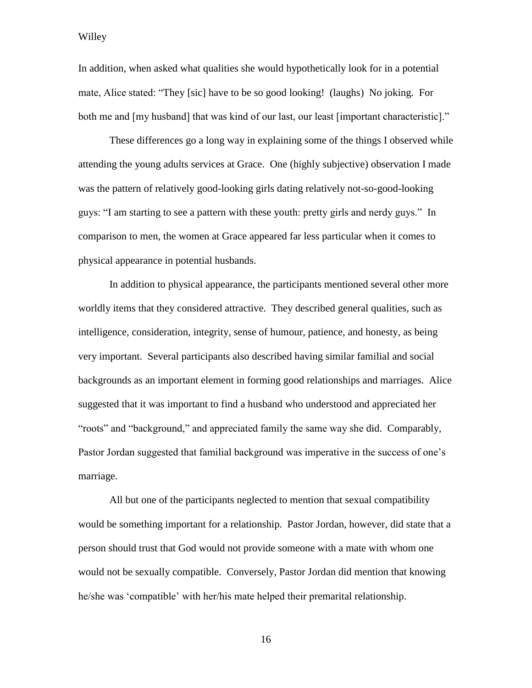In addition, when asked what qualities she would hypothetically look for in a potential mate, Alice stated: "They [sic] have to be so good looking! (laughs) No joking. For both me and [my husband] that was kind of our last, our least [important characteristic]."

These differences go a long way in explaining some of the things I observed while attending the young adults services at Grace. One (highly subjective) observation I made was the pattern of relatively good-looking girls dating relatively not-so-good-looking guys: "I am starting to see a pattern with these youth: pretty girls and nerdy guys." In comparison to men, the women at Grace appeared far less particular when it comes to physical appearance in potential husbands.

In addition to physical appearance, the participants mentioned several other more worldly items that they considered attractive. They described general qualities, such as intelligence, consideration, integrity, sense of humour, patience, and honesty, as being very important. Several participants also described having similar familial and social backgrounds as an important element in forming good relationships and marriages. Alice suggested that it was important to find a husband who understood and appreciated her "roots" and "background," and appreciated family the same way she did. Comparably, Pastor Jordan suggested that familial background was imperative in the success of one's marriage.

All but one of the participants neglected to mention that sexual compatibility would be something important for a relationship. Pastor Jordan, however, did state that a person should trust that God would not provide someone with a mate with whom one would not be sexually compatible. Conversely, Pastor Jordan did mention that knowing he/she was 'compatible' with her/his mate helped their premarital relationship.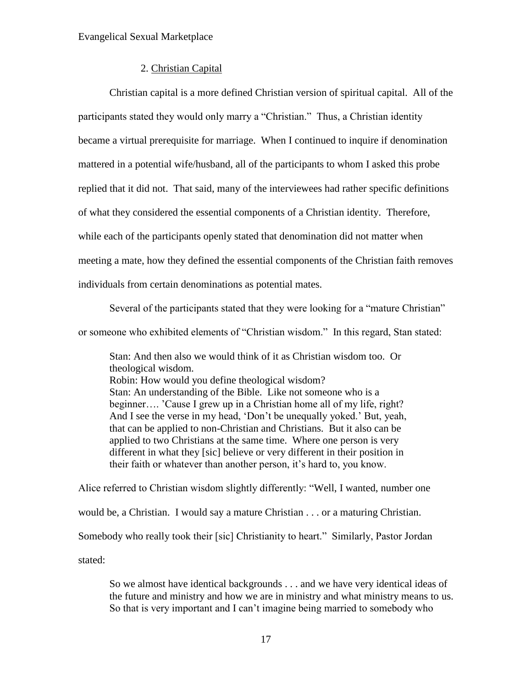## 2. Christian Capital

Christian capital is a more defined Christian version of spiritual capital. All of the participants stated they would only marry a "Christian." Thus, a Christian identity became a virtual prerequisite for marriage. When I continued to inquire if denomination mattered in a potential wife/husband, all of the participants to whom I asked this probe replied that it did not. That said, many of the interviewees had rather specific definitions of what they considered the essential components of a Christian identity. Therefore, while each of the participants openly stated that denomination did not matter when meeting a mate, how they defined the essential components of the Christian faith removes individuals from certain denominations as potential mates.

Several of the participants stated that they were looking for a "mature Christian"

or someone who exhibited elements of "Christian wisdom." In this regard, Stan stated:

Stan: And then also we would think of it as Christian wisdom too. Or theological wisdom. Robin: How would you define theological wisdom? Stan: An understanding of the Bible. Like not someone who is a beginner…. 'Cause I grew up in a Christian home all of my life, right? And I see the verse in my head, 'Don't be unequally yoked.' But, yeah, that can be applied to non-Christian and Christians. But it also can be applied to two Christians at the same time. Where one person is very different in what they [sic] believe or very different in their position in their faith or whatever than another person, it's hard to, you know.

Alice referred to Christian wisdom slightly differently: "Well, I wanted, number one

would be, a Christian. I would say a mature Christian . . . or a maturing Christian.

Somebody who really took their [sic] Christianity to heart." Similarly, Pastor Jordan

stated:

So we almost have identical backgrounds . . . and we have very identical ideas of the future and ministry and how we are in ministry and what ministry means to us. So that is very important and I can't imagine being married to somebody who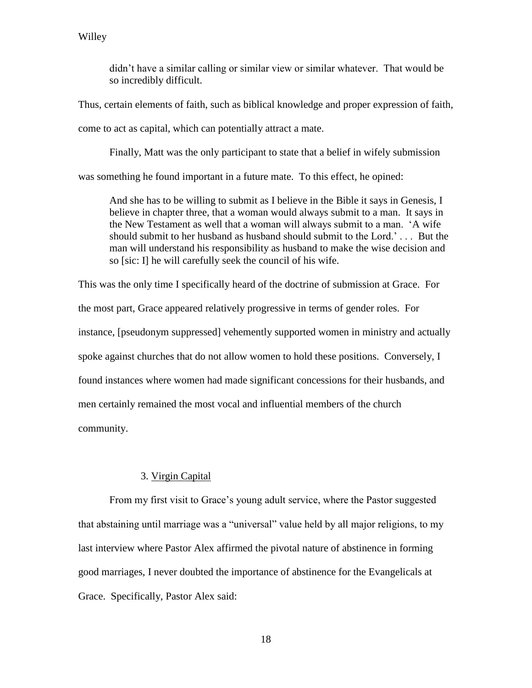didn't have a similar calling or similar view or similar whatever. That would be so incredibly difficult.

Thus, certain elements of faith, such as biblical knowledge and proper expression of faith,

come to act as capital, which can potentially attract a mate.

Finally, Matt was the only participant to state that a belief in wifely submission

was something he found important in a future mate. To this effect, he opined:

And she has to be willing to submit as I believe in the Bible it says in Genesis, I believe in chapter three, that a woman would always submit to a man. It says in the New Testament as well that a woman will always submit to a man. 'A wife should submit to her husband as husband should submit to the Lord.' . . . But the man will understand his responsibility as husband to make the wise decision and so [sic: I] he will carefully seek the council of his wife.

This was the only time I specifically heard of the doctrine of submission at Grace. For the most part, Grace appeared relatively progressive in terms of gender roles. For instance, [pseudonym suppressed] vehemently supported women in ministry and actually spoke against churches that do not allow women to hold these positions. Conversely, I found instances where women had made significant concessions for their husbands, and men certainly remained the most vocal and influential members of the church community.

# 3. Virgin Capital

From my first visit to Grace's young adult service, where the Pastor suggested that abstaining until marriage was a "universal" value held by all major religions, to my last interview where Pastor Alex affirmed the pivotal nature of abstinence in forming good marriages, I never doubted the importance of abstinence for the Evangelicals at Grace. Specifically, Pastor Alex said: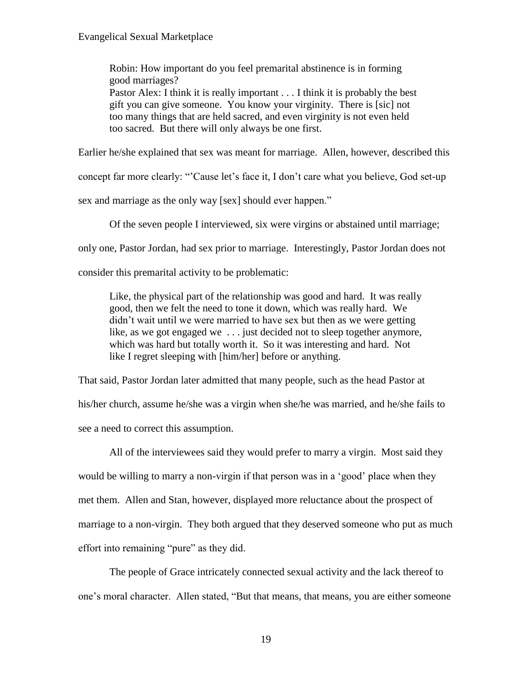Robin: How important do you feel premarital abstinence is in forming good marriages? Pastor Alex: I think it is really important . . . I think it is probably the best gift you can give someone. You know your virginity. There is [sic] not too many things that are held sacred, and even virginity is not even held too sacred. But there will only always be one first.

Earlier he/she explained that sex was meant for marriage. Allen, however, described this

concept far more clearly: "'Cause let's face it, I don't care what you believe, God set-up

sex and marriage as the only way [sex] should ever happen."

Of the seven people I interviewed, six were virgins or abstained until marriage;

only one, Pastor Jordan, had sex prior to marriage. Interestingly, Pastor Jordan does not

consider this premarital activity to be problematic:

Like, the physical part of the relationship was good and hard. It was really good, then we felt the need to tone it down, which was really hard. We didn't wait until we were married to have sex but then as we were getting like, as we got engaged we ... just decided not to sleep together anymore, which was hard but totally worth it. So it was interesting and hard. Not like I regret sleeping with [him/her] before or anything.

That said, Pastor Jordan later admitted that many people, such as the head Pastor at his/her church, assume he/she was a virgin when she/he was married, and he/she fails to see a need to correct this assumption.

All of the interviewees said they would prefer to marry a virgin. Most said they would be willing to marry a non-virgin if that person was in a 'good' place when they met them. Allen and Stan, however, displayed more reluctance about the prospect of marriage to a non-virgin. They both argued that they deserved someone who put as much effort into remaining "pure" as they did.

The people of Grace intricately connected sexual activity and the lack thereof to one's moral character. Allen stated, "But that means, that means, you are either someone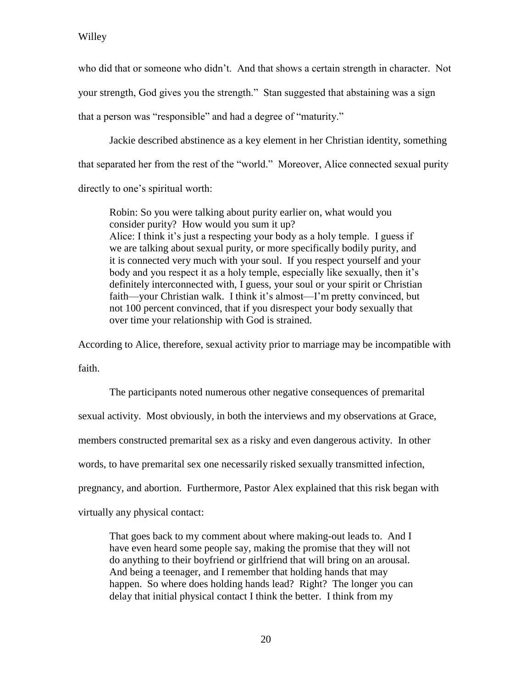who did that or someone who didn't. And that shows a certain strength in character. Not your strength, God gives you the strength." Stan suggested that abstaining was a sign that a person was "responsible" and had a degree of "maturity."

Jackie described abstinence as a key element in her Christian identity, something that separated her from the rest of the "world." Moreover, Alice connected sexual purity directly to one's spiritual worth:

Robin: So you were talking about purity earlier on, what would you consider purity? How would you sum it up? Alice: I think it's just a respecting your body as a holy temple. I guess if we are talking about sexual purity, or more specifically bodily purity, and it is connected very much with your soul. If you respect yourself and your body and you respect it as a holy temple, especially like sexually, then it's definitely interconnected with, I guess, your soul or your spirit or Christian faith—your Christian walk. I think it's almost—I'm pretty convinced, but not 100 percent convinced, that if you disrespect your body sexually that over time your relationship with God is strained.

According to Alice, therefore, sexual activity prior to marriage may be incompatible with

faith.

The participants noted numerous other negative consequences of premarital sexual activity. Most obviously, in both the interviews and my observations at Grace, members constructed premarital sex as a risky and even dangerous activity. In other words, to have premarital sex one necessarily risked sexually transmitted infection, pregnancy, and abortion. Furthermore, Pastor Alex explained that this risk began with virtually any physical contact:

That goes back to my comment about where making-out leads to. And I have even heard some people say, making the promise that they will not do anything to their boyfriend or girlfriend that will bring on an arousal. And being a teenager, and I remember that holding hands that may happen. So where does holding hands lead? Right? The longer you can delay that initial physical contact I think the better. I think from my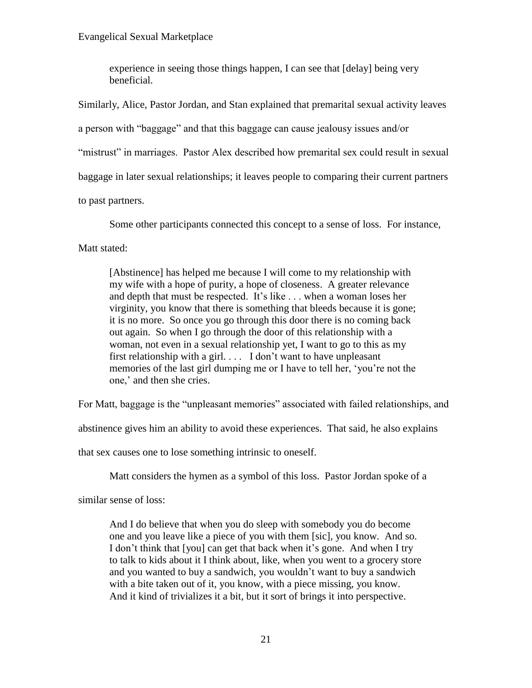experience in seeing those things happen, I can see that [delay] being very beneficial.

Similarly, Alice, Pastor Jordan, and Stan explained that premarital sexual activity leaves a person with "baggage" and that this baggage can cause jealousy issues and/or "mistrust" in marriages. Pastor Alex described how premarital sex could result in sexual baggage in later sexual relationships; it leaves people to comparing their current partners to past partners.

Some other participants connected this concept to a sense of loss. For instance,

# Matt stated:

[Abstinence] has helped me because I will come to my relationship with my wife with a hope of purity, a hope of closeness. A greater relevance and depth that must be respected. It's like . . . when a woman loses her virginity, you know that there is something that bleeds because it is gone; it is no more. So once you go through this door there is no coming back out again. So when I go through the door of this relationship with a woman, not even in a sexual relationship yet, I want to go to this as my first relationship with a girl. . . . I don't want to have unpleasant memories of the last girl dumping me or I have to tell her, 'you're not the one,' and then she cries.

For Matt, baggage is the "unpleasant memories" associated with failed relationships, and

abstinence gives him an ability to avoid these experiences. That said, he also explains

that sex causes one to lose something intrinsic to oneself.

Matt considers the hymen as a symbol of this loss. Pastor Jordan spoke of a

similar sense of loss:

And I do believe that when you do sleep with somebody you do become one and you leave like a piece of you with them [sic], you know. And so. I don't think that [you] can get that back when it's gone. And when I try to talk to kids about it I think about, like, when you went to a grocery store and you wanted to buy a sandwich, you wouldn't want to buy a sandwich with a bite taken out of it, you know, with a piece missing, you know. And it kind of trivializes it a bit, but it sort of brings it into perspective.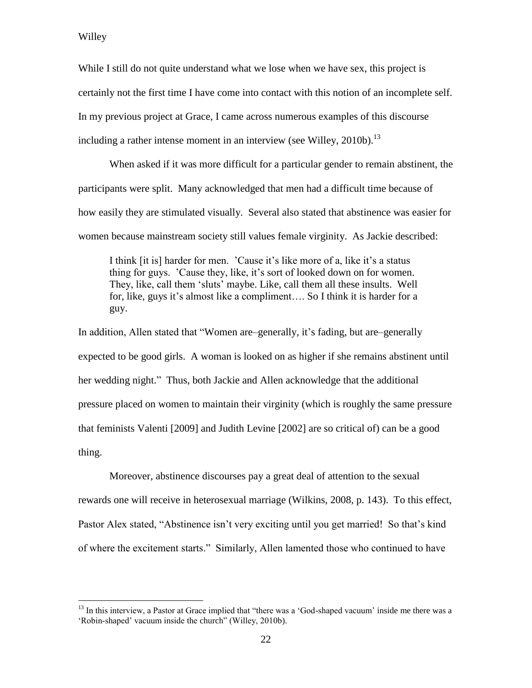$\overline{a}$ 

While I still do not quite understand what we lose when we have sex, this project is certainly not the first time I have come into contact with this notion of an incomplete self. In my previous project at Grace, I came across numerous examples of this discourse including a rather intense moment in an interview (see Willey, 2010b).<sup>13</sup>

When asked if it was more difficult for a particular gender to remain abstinent, the participants were split. Many acknowledged that men had a difficult time because of how easily they are stimulated visually. Several also stated that abstinence was easier for women because mainstream society still values female virginity. As Jackie described:

I think [it is] harder for men. 'Cause it's like more of a, like it's a status thing for guys. 'Cause they, like, it's sort of looked down on for women. They, like, call them 'sluts' maybe. Like, call them all these insults. Well for, like, guys it's almost like a compliment…. So I think it is harder for a guy.

In addition, Allen stated that "Women are–generally, it's fading, but are–generally expected to be good girls. A woman is looked on as higher if she remains abstinent until her wedding night." Thus, both Jackie and Allen acknowledge that the additional pressure placed on women to maintain their virginity (which is roughly the same pressure that feminists Valenti [2009] and Judith Levine [2002] are so critical of) can be a good thing.

Moreover, abstinence discourses pay a great deal of attention to the sexual rewards one will receive in heterosexual marriage (Wilkins, 2008, p. 143). To this effect, Pastor Alex stated, "Abstinence isn't very exciting until you get married! So that's kind of where the excitement starts." Similarly, Allen lamented those who continued to have

<sup>&</sup>lt;sup>13</sup> In this interview, a Pastor at Grace implied that "there was a 'God-shaped vacuum' inside me there was a 'Robin-shaped' vacuum inside the church" (Willey, 2010b).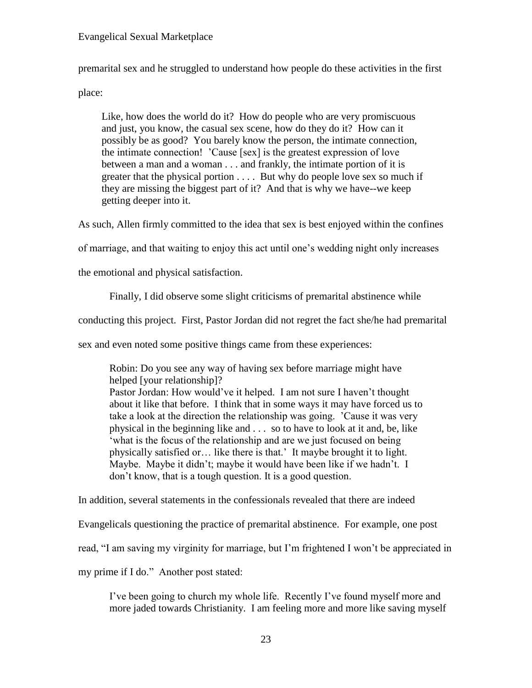premarital sex and he struggled to understand how people do these activities in the first

place:

Like, how does the world do it? How do people who are very promiscuous and just, you know, the casual sex scene, how do they do it? How can it possibly be as good? You barely know the person, the intimate connection, the intimate connection! 'Cause [sex] is the greatest expression of love between a man and a woman . . . and frankly, the intimate portion of it is greater that the physical portion . . . . But why do people love sex so much if they are missing the biggest part of it? And that is why we have--we keep getting deeper into it.

As such, Allen firmly committed to the idea that sex is best enjoyed within the confines

of marriage, and that waiting to enjoy this act until one's wedding night only increases

the emotional and physical satisfaction.

Finally, I did observe some slight criticisms of premarital abstinence while

conducting this project. First, Pastor Jordan did not regret the fact she/he had premarital

sex and even noted some positive things came from these experiences:

Robin: Do you see any way of having sex before marriage might have helped [your relationship]? Pastor Jordan: How would've it helped. I am not sure I haven't thought about it like that before. I think that in some ways it may have forced us to take a look at the direction the relationship was going. 'Cause it was very physical in the beginning like and . . . so to have to look at it and, be, like 'what is the focus of the relationship and are we just focused on being physically satisfied or… like there is that.' It maybe brought it to light.

Maybe. Maybe it didn't; maybe it would have been like if we hadn't. I don't know, that is a tough question. It is a good question.

In addition, several statements in the confessionals revealed that there are indeed

Evangelicals questioning the practice of premarital abstinence. For example, one post

read, "I am saving my virginity for marriage, but I'm frightened I won't be appreciated in

my prime if I do." Another post stated:

I've been going to church my whole life. Recently I've found myself more and more jaded towards Christianity. I am feeling more and more like saving myself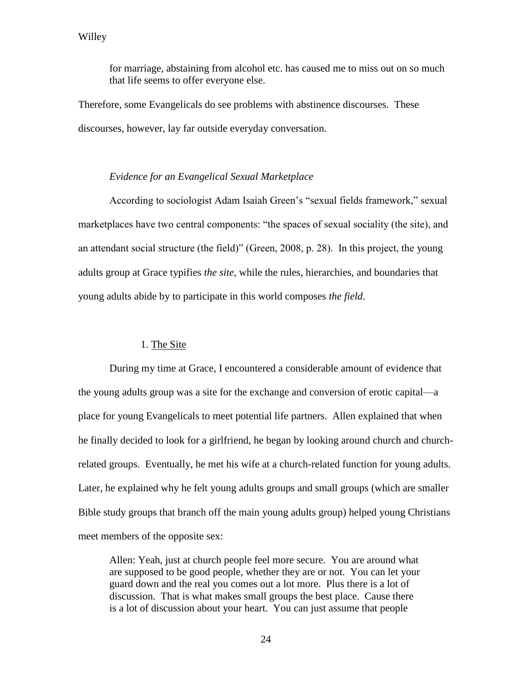for marriage, abstaining from alcohol etc. has caused me to miss out on so much that life seems to offer everyone else.

Therefore, some Evangelicals do see problems with abstinence discourses. These discourses, however, lay far outside everyday conversation.

# *Evidence for an Evangelical Sexual Marketplace*

According to sociologist Adam Isaiah Green's "sexual fields framework," sexual marketplaces have two central components: "the spaces of sexual sociality (the site), and an attendant social structure (the field)" (Green, 2008, p. 28). In this project, the young adults group at Grace typifies *the site*, while the rules, hierarchies, and boundaries that young adults abide by to participate in this world composes *the field*.

# 1. The Site

During my time at Grace, I encountered a considerable amount of evidence that the young adults group was a site for the exchange and conversion of erotic capital—a place for young Evangelicals to meet potential life partners. Allen explained that when he finally decided to look for a girlfriend, he began by looking around church and churchrelated groups. Eventually, he met his wife at a church-related function for young adults. Later, he explained why he felt young adults groups and small groups (which are smaller Bible study groups that branch off the main young adults group) helped young Christians meet members of the opposite sex:

Allen: Yeah, just at church people feel more secure. You are around what are supposed to be good people, whether they are or not. You can let your guard down and the real you comes out a lot more. Plus there is a lot of discussion. That is what makes small groups the best place. Cause there is a lot of discussion about your heart. You can just assume that people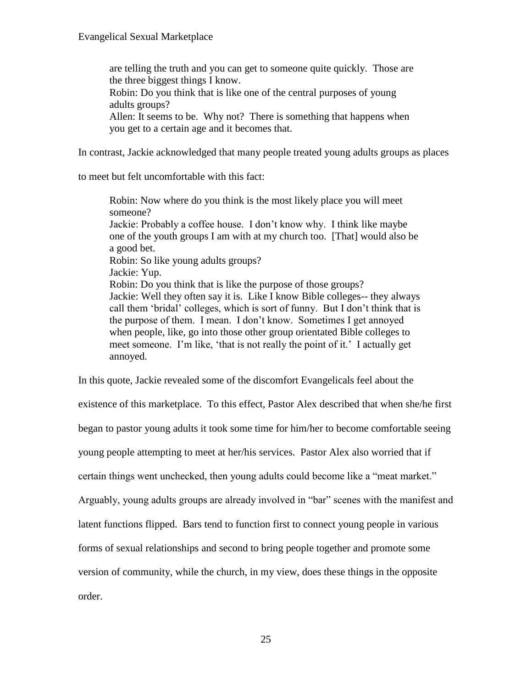are telling the truth and you can get to someone quite quickly. Those are the three biggest things I know.

Robin: Do you think that is like one of the central purposes of young adults groups?

Allen: It seems to be. Why not? There is something that happens when you get to a certain age and it becomes that.

In contrast, Jackie acknowledged that many people treated young adults groups as places

to meet but felt uncomfortable with this fact:

Robin: Now where do you think is the most likely place you will meet someone? Jackie: Probably a coffee house. I don't know why. I think like maybe one of the youth groups I am with at my church too. [That] would also be a good bet. Robin: So like young adults groups? Jackie: Yup. Robin: Do you think that is like the purpose of those groups? Jackie: Well they often say it is. Like I know Bible colleges-- they always call them 'bridal' colleges, which is sort of funny. But I don't think that is the purpose of them. I mean. I don't know. Sometimes I get annoyed when people, like, go into those other group orientated Bible colleges to meet someone. I'm like, 'that is not really the point of it.' I actually get annoyed.

In this quote, Jackie revealed some of the discomfort Evangelicals feel about the existence of this marketplace. To this effect, Pastor Alex described that when she/he first began to pastor young adults it took some time for him/her to become comfortable seeing young people attempting to meet at her/his services. Pastor Alex also worried that if certain things went unchecked, then young adults could become like a "meat market." Arguably, young adults groups are already involved in "bar" scenes with the manifest and latent functions flipped. Bars tend to function first to connect young people in various forms of sexual relationships and second to bring people together and promote some version of community, while the church, in my view, does these things in the opposite order.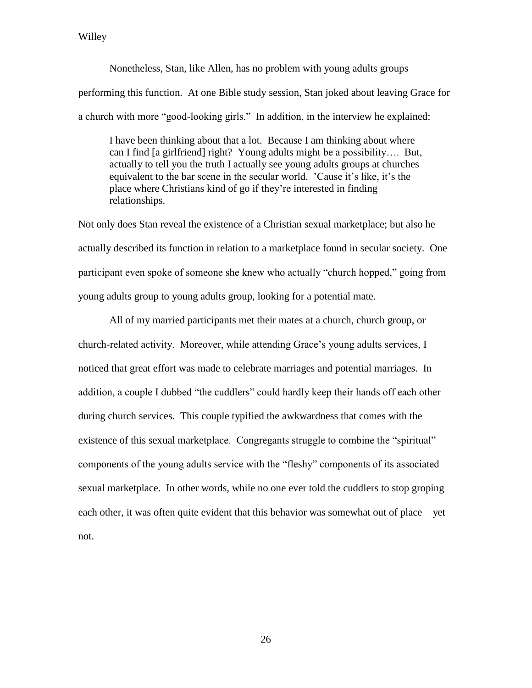Nonetheless, Stan, like Allen, has no problem with young adults groups performing this function. At one Bible study session, Stan joked about leaving Grace for a church with more "good-looking girls." In addition, in the interview he explained:

I have been thinking about that a lot. Because I am thinking about where can I find [a girlfriend] right? Young adults might be a possibility…. But, actually to tell you the truth I actually see young adults groups at churches equivalent to the bar scene in the secular world. 'Cause it's like, it's the place where Christians kind of go if they're interested in finding relationships.

Not only does Stan reveal the existence of a Christian sexual marketplace; but also he actually described its function in relation to a marketplace found in secular society. One participant even spoke of someone she knew who actually "church hopped," going from young adults group to young adults group, looking for a potential mate.

All of my married participants met their mates at a church, church group, or church-related activity. Moreover, while attending Grace's young adults services, I noticed that great effort was made to celebrate marriages and potential marriages. In addition, a couple I dubbed "the cuddlers" could hardly keep their hands off each other during church services. This couple typified the awkwardness that comes with the existence of this sexual marketplace. Congregants struggle to combine the "spiritual" components of the young adults service with the "fleshy" components of its associated sexual marketplace. In other words, while no one ever told the cuddlers to stop groping each other, it was often quite evident that this behavior was somewhat out of place—yet not.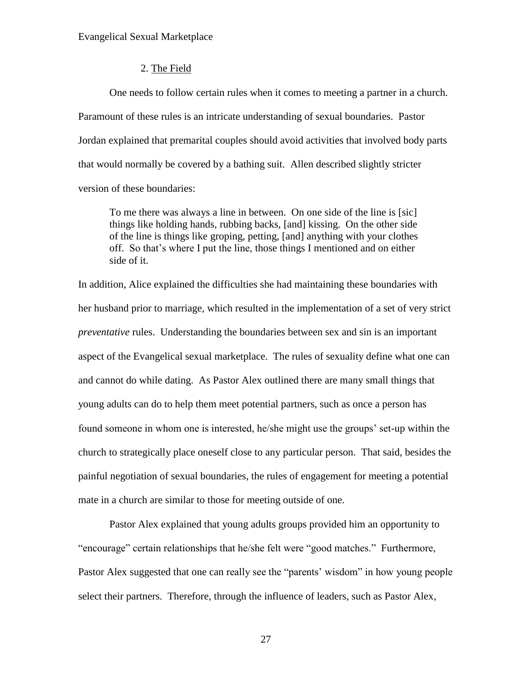## 2. The Field

One needs to follow certain rules when it comes to meeting a partner in a church. Paramount of these rules is an intricate understanding of sexual boundaries. Pastor Jordan explained that premarital couples should avoid activities that involved body parts that would normally be covered by a bathing suit. Allen described slightly stricter version of these boundaries:

To me there was always a line in between. On one side of the line is [sic] things like holding hands, rubbing backs, [and] kissing. On the other side of the line is things like groping, petting, [and] anything with your clothes off. So that's where I put the line, those things I mentioned and on either side of it.

In addition, Alice explained the difficulties she had maintaining these boundaries with her husband prior to marriage, which resulted in the implementation of a set of very strict *preventative* rules. Understanding the boundaries between sex and sin is an important aspect of the Evangelical sexual marketplace. The rules of sexuality define what one can and cannot do while dating. As Pastor Alex outlined there are many small things that young adults can do to help them meet potential partners, such as once a person has found someone in whom one is interested, he/she might use the groups' set-up within the church to strategically place oneself close to any particular person. That said, besides the painful negotiation of sexual boundaries, the rules of engagement for meeting a potential mate in a church are similar to those for meeting outside of one.

Pastor Alex explained that young adults groups provided him an opportunity to "encourage" certain relationships that he/she felt were "good matches." Furthermore, Pastor Alex suggested that one can really see the "parents' wisdom" in how young people select their partners. Therefore, through the influence of leaders, such as Pastor Alex,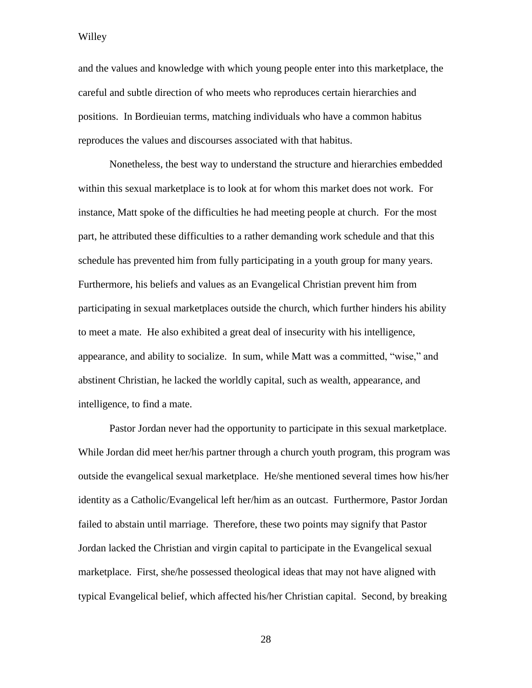and the values and knowledge with which young people enter into this marketplace, the careful and subtle direction of who meets who reproduces certain hierarchies and positions. In Bordieuian terms, matching individuals who have a common habitus reproduces the values and discourses associated with that habitus.

Nonetheless, the best way to understand the structure and hierarchies embedded within this sexual marketplace is to look at for whom this market does not work. For instance, Matt spoke of the difficulties he had meeting people at church. For the most part, he attributed these difficulties to a rather demanding work schedule and that this schedule has prevented him from fully participating in a youth group for many years. Furthermore, his beliefs and values as an Evangelical Christian prevent him from participating in sexual marketplaces outside the church, which further hinders his ability to meet a mate. He also exhibited a great deal of insecurity with his intelligence, appearance, and ability to socialize. In sum, while Matt was a committed, "wise," and abstinent Christian, he lacked the worldly capital, such as wealth, appearance, and intelligence, to find a mate.

Pastor Jordan never had the opportunity to participate in this sexual marketplace. While Jordan did meet her/his partner through a church youth program, this program was outside the evangelical sexual marketplace. He/she mentioned several times how his/her identity as a Catholic/Evangelical left her/him as an outcast. Furthermore, Pastor Jordan failed to abstain until marriage. Therefore, these two points may signify that Pastor Jordan lacked the Christian and virgin capital to participate in the Evangelical sexual marketplace. First, she/he possessed theological ideas that may not have aligned with typical Evangelical belief, which affected his/her Christian capital. Second, by breaking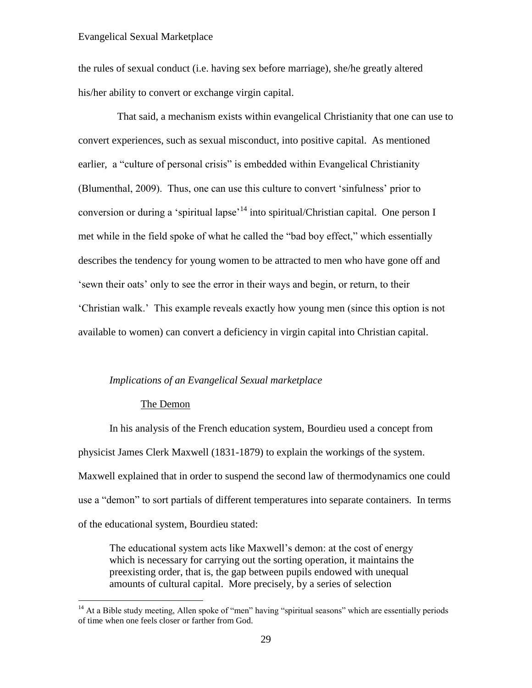the rules of sexual conduct (i.e. having sex before marriage), she/he greatly altered his/her ability to convert or exchange virgin capital.

 That said, a mechanism exists within evangelical Christianity that one can use to convert experiences, such as sexual misconduct, into positive capital. As mentioned earlier, a "culture of personal crisis" is embedded within Evangelical Christianity (Blumenthal, 2009). Thus, one can use this culture to convert 'sinfulness' prior to conversion or during a 'spiritual lapse'<sup>14</sup> into spiritual/Christian capital. One person I met while in the field spoke of what he called the "bad boy effect," which essentially describes the tendency for young women to be attracted to men who have gone off and 'sewn their oats' only to see the error in their ways and begin, or return, to their 'Christian walk.' This example reveals exactly how young men (since this option is not available to women) can convert a deficiency in virgin capital into Christian capital.

#### *Implications of an Evangelical Sexual marketplace*

#### The Demon

 $\overline{a}$ 

In his analysis of the French education system, Bourdieu used a concept from physicist James Clerk Maxwell (1831-1879) to explain the workings of the system. Maxwell explained that in order to suspend the second law of thermodynamics one could use a "demon" to sort partials of different temperatures into separate containers. In terms of the educational system, Bourdieu stated:

The educational system acts like Maxwell's demon: at the cost of energy which is necessary for carrying out the sorting operation, it maintains the preexisting order, that is, the gap between pupils endowed with unequal amounts of cultural capital. More precisely, by a series of selection

<sup>&</sup>lt;sup>14</sup> At a Bible study meeting, Allen spoke of "men" having "spiritual seasons" which are essentially periods of time when one feels closer or farther from God.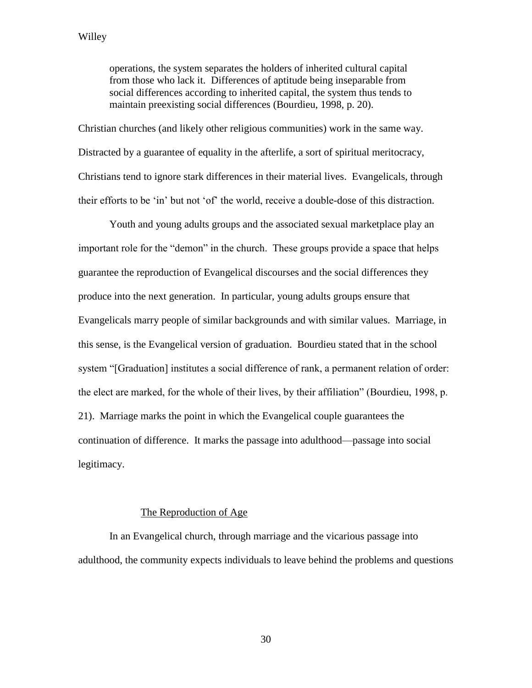operations, the system separates the holders of inherited cultural capital from those who lack it. Differences of aptitude being inseparable from social differences according to inherited capital, the system thus tends to maintain preexisting social differences (Bourdieu, 1998, p. 20).

Christian churches (and likely other religious communities) work in the same way. Distracted by a guarantee of equality in the afterlife, a sort of spiritual meritocracy, Christians tend to ignore stark differences in their material lives. Evangelicals, through their efforts to be 'in' but not 'of' the world, receive a double-dose of this distraction.

Youth and young adults groups and the associated sexual marketplace play an important role for the "demon" in the church. These groups provide a space that helps guarantee the reproduction of Evangelical discourses and the social differences they produce into the next generation. In particular, young adults groups ensure that Evangelicals marry people of similar backgrounds and with similar values. Marriage, in this sense, is the Evangelical version of graduation. Bourdieu stated that in the school system "[Graduation] institutes a social difference of rank, a permanent relation of order: the elect are marked, for the whole of their lives, by their affiliation" (Bourdieu, 1998, p. 21). Marriage marks the point in which the Evangelical couple guarantees the continuation of difference. It marks the passage into adulthood—passage into social legitimacy.

# The Reproduction of Age

In an Evangelical church, through marriage and the vicarious passage into adulthood, the community expects individuals to leave behind the problems and questions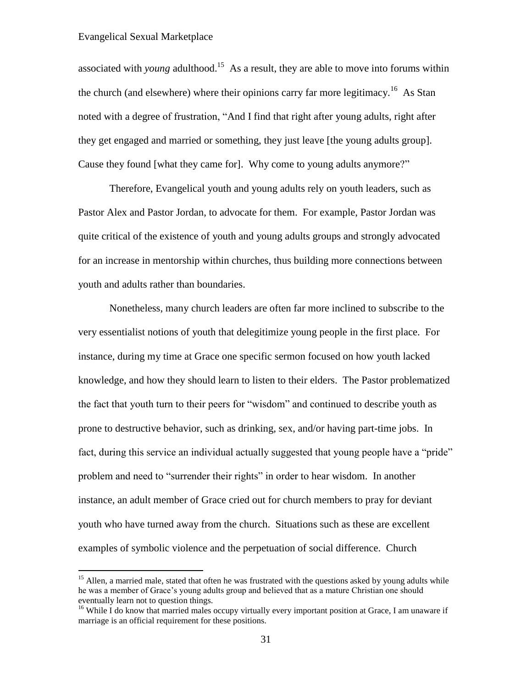$\overline{a}$ 

associated with *young* adulthood.<sup>15</sup> As a result, they are able to move into forums within the church (and elsewhere) where their opinions carry far more legitimacy.<sup>16</sup> As Stan noted with a degree of frustration, "And I find that right after young adults, right after they get engaged and married or something, they just leave [the young adults group]. Cause they found [what they came for]. Why come to young adults anymore?"

Therefore, Evangelical youth and young adults rely on youth leaders, such as Pastor Alex and Pastor Jordan, to advocate for them. For example, Pastor Jordan was quite critical of the existence of youth and young adults groups and strongly advocated for an increase in mentorship within churches, thus building more connections between youth and adults rather than boundaries.

Nonetheless, many church leaders are often far more inclined to subscribe to the very essentialist notions of youth that delegitimize young people in the first place. For instance, during my time at Grace one specific sermon focused on how youth lacked knowledge, and how they should learn to listen to their elders. The Pastor problematized the fact that youth turn to their peers for "wisdom" and continued to describe youth as prone to destructive behavior, such as drinking, sex, and/or having part-time jobs. In fact, during this service an individual actually suggested that young people have a "pride" problem and need to "surrender their rights" in order to hear wisdom. In another instance, an adult member of Grace cried out for church members to pray for deviant youth who have turned away from the church. Situations such as these are excellent examples of symbolic violence and the perpetuation of social difference. Church

<sup>&</sup>lt;sup>15</sup> Allen, a married male, stated that often he was frustrated with the questions asked by young adults while he was a member of Grace's young adults group and believed that as a mature Christian one should eventually learn not to question things.

<sup>&</sup>lt;sup>16</sup> While I do know that married males occupy virtually every important position at Grace, I am unaware if marriage is an official requirement for these positions.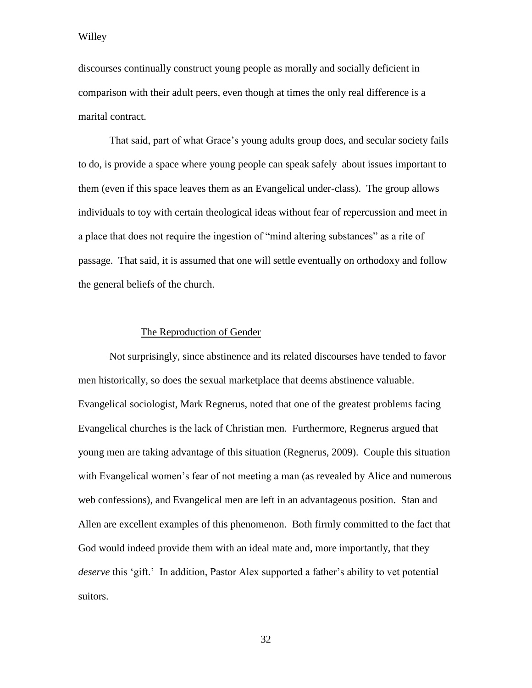discourses continually construct young people as morally and socially deficient in comparison with their adult peers, even though at times the only real difference is a marital contract.

That said, part of what Grace's young adults group does, and secular society fails to do, is provide a space where young people can speak safely about issues important to them (even if this space leaves them as an Evangelical under-class). The group allows individuals to toy with certain theological ideas without fear of repercussion and meet in a place that does not require the ingestion of "mind altering substances" as a rite of passage. That said, it is assumed that one will settle eventually on orthodoxy and follow the general beliefs of the church.

#### The Reproduction of Gender

Not surprisingly, since abstinence and its related discourses have tended to favor men historically, so does the sexual marketplace that deems abstinence valuable. Evangelical sociologist, Mark Regnerus, noted that one of the greatest problems facing Evangelical churches is the lack of Christian men. Furthermore, Regnerus argued that young men are taking advantage of this situation (Regnerus, 2009). Couple this situation with Evangelical women's fear of not meeting a man (as revealed by Alice and numerous web confessions), and Evangelical men are left in an advantageous position. Stan and Allen are excellent examples of this phenomenon. Both firmly committed to the fact that God would indeed provide them with an ideal mate and, more importantly, that they *deserve* this 'gift.' In addition, Pastor Alex supported a father's ability to vet potential suitors.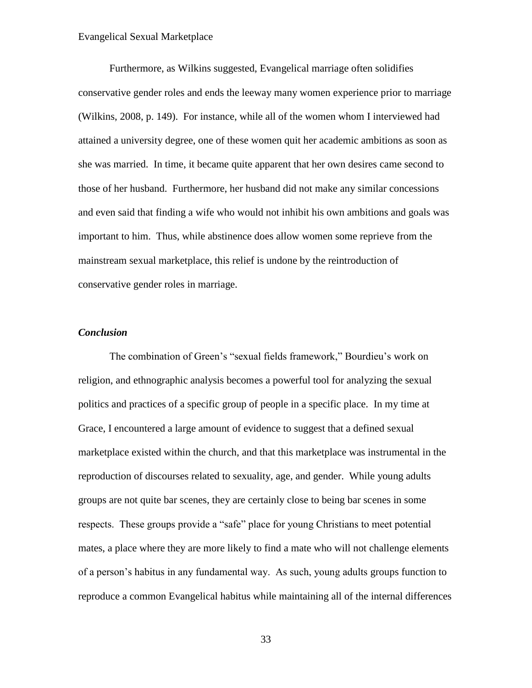Furthermore, as Wilkins suggested, Evangelical marriage often solidifies conservative gender roles and ends the leeway many women experience prior to marriage (Wilkins, 2008, p. 149). For instance, while all of the women whom I interviewed had attained a university degree, one of these women quit her academic ambitions as soon as she was married. In time, it became quite apparent that her own desires came second to those of her husband. Furthermore, her husband did not make any similar concessions and even said that finding a wife who would not inhibit his own ambitions and goals was important to him. Thus, while abstinence does allow women some reprieve from the mainstream sexual marketplace, this relief is undone by the reintroduction of conservative gender roles in marriage.

## *Conclusion*

The combination of Green's "sexual fields framework," Bourdieu's work on religion, and ethnographic analysis becomes a powerful tool for analyzing the sexual politics and practices of a specific group of people in a specific place. In my time at Grace, I encountered a large amount of evidence to suggest that a defined sexual marketplace existed within the church, and that this marketplace was instrumental in the reproduction of discourses related to sexuality, age, and gender. While young adults groups are not quite bar scenes, they are certainly close to being bar scenes in some respects. These groups provide a "safe" place for young Christians to meet potential mates, a place where they are more likely to find a mate who will not challenge elements of a person's habitus in any fundamental way. As such, young adults groups function to reproduce a common Evangelical habitus while maintaining all of the internal differences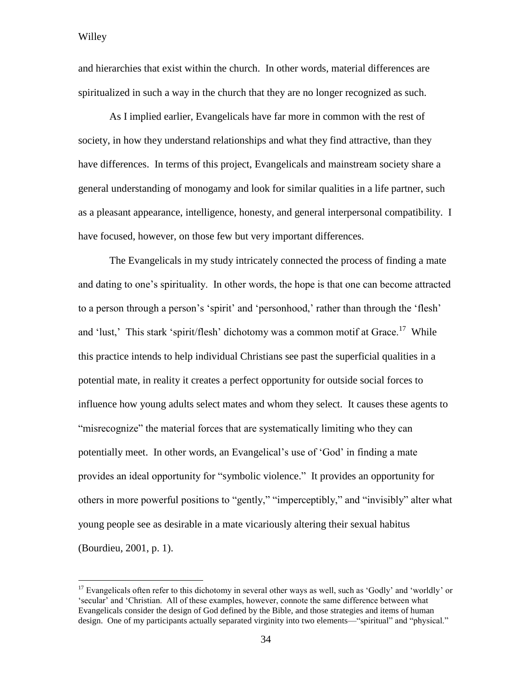$\overline{a}$ 

and hierarchies that exist within the church. In other words, material differences are spiritualized in such a way in the church that they are no longer recognized as such.

As I implied earlier, Evangelicals have far more in common with the rest of society, in how they understand relationships and what they find attractive, than they have differences. In terms of this project, Evangelicals and mainstream society share a general understanding of monogamy and look for similar qualities in a life partner, such as a pleasant appearance, intelligence, honesty, and general interpersonal compatibility. I have focused, however, on those few but very important differences.

The Evangelicals in my study intricately connected the process of finding a mate and dating to one's spirituality. In other words, the hope is that one can become attracted to a person through a person's 'spirit' and 'personhood,' rather than through the 'flesh' and 'lust,' This stark 'spirit/flesh' dichotomy was a common motif at Grace.<sup>17</sup> While this practice intends to help individual Christians see past the superficial qualities in a potential mate, in reality it creates a perfect opportunity for outside social forces to influence how young adults select mates and whom they select. It causes these agents to "misrecognize" the material forces that are systematically limiting who they can potentially meet. In other words, an Evangelical's use of 'God' in finding a mate provides an ideal opportunity for "symbolic violence." It provides an opportunity for others in more powerful positions to "gently," "imperceptibly," and "invisibly" alter what young people see as desirable in a mate vicariously altering their sexual habitus (Bourdieu, 2001, p. 1).

<sup>&</sup>lt;sup>17</sup> Evangelicals often refer to this dichotomy in several other ways as well, such as 'Godly' and 'worldly' or 'secular' and 'Christian. All of these examples, however, connote the same difference between what Evangelicals consider the design of God defined by the Bible, and those strategies and items of human design. One of my participants actually separated virginity into two elements—"spiritual" and "physical."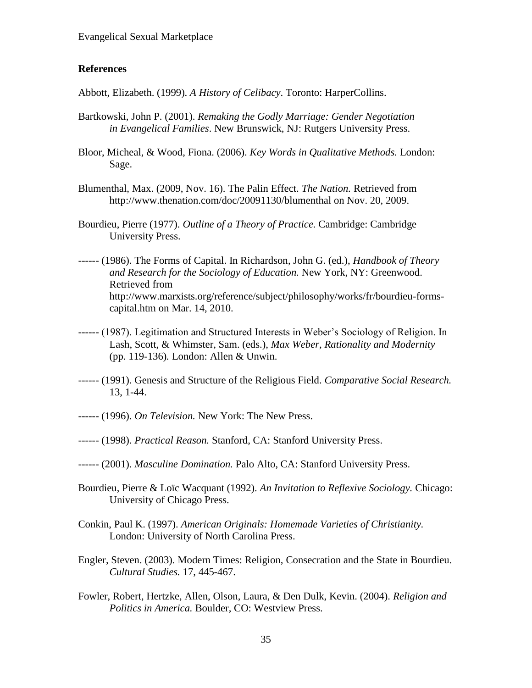# **References**

Abbott, Elizabeth. (1999). *A History of Celibacy*. Toronto: HarperCollins.

- Bartkowski, John P. (2001). *Remaking the Godly Marriage: Gender Negotiation in Evangelical Families*. New Brunswick, NJ: Rutgers University Press.
- Bloor, Micheal, & Wood, Fiona. (2006). *Key Words in Qualitative Methods.* London: Sage.
- Blumenthal, Max. (2009, Nov. 16). The Palin Effect. *The Nation.* Retrieved from http://www.thenation.com/doc/20091130/blumenthal on Nov. 20, 2009.
- Bourdieu, Pierre (1977). *Outline of a Theory of Practice.* Cambridge: Cambridge University Press.
- ------ (1986). The Forms of Capital. In Richardson, John G. (ed.), *Handbook of Theory and Research for the Sociology of Education.* New York, NY: Greenwood. Retrieved from http://www.marxists.org/reference/subject/philosophy/works/fr/bourdieu-formscapital.htm on Mar. 14, 2010.
- ------ (1987). Legitimation and Structured Interests in Weber's Sociology of Religion. In Lash, Scott, & Whimster, Sam. (eds.), *Max Weber, Rationality and Modernity*  (pp. 119-136)*.* London: Allen & Unwin.
- ------ (1991). Genesis and Structure of the Religious Field. *Comparative Social Research.*  13, 1-44.
- ------ (1996). *On Television.* New York: The New Press.
- ------ (1998). *Practical Reason.* Stanford, CA: Stanford University Press.
- ------ (2001). *Masculine Domination.* Palo Alto, CA: Stanford University Press.
- Bourdieu, Pierre & Loïc Wacquant (1992). *An Invitation to Reflexive Sociology.* Chicago: University of Chicago Press.
- Conkin, Paul K. (1997). *American Originals: Homemade Varieties of Christianity.* London: University of North Carolina Press.
- Engler, Steven. (2003). Modern Times: Religion, Consecration and the State in Bourdieu. *Cultural Studies.* 17, 445-467.
- Fowler, Robert, Hertzke, Allen, Olson, Laura, & Den Dulk, Kevin. (2004). *Religion and Politics in America.* Boulder, CO: Westview Press.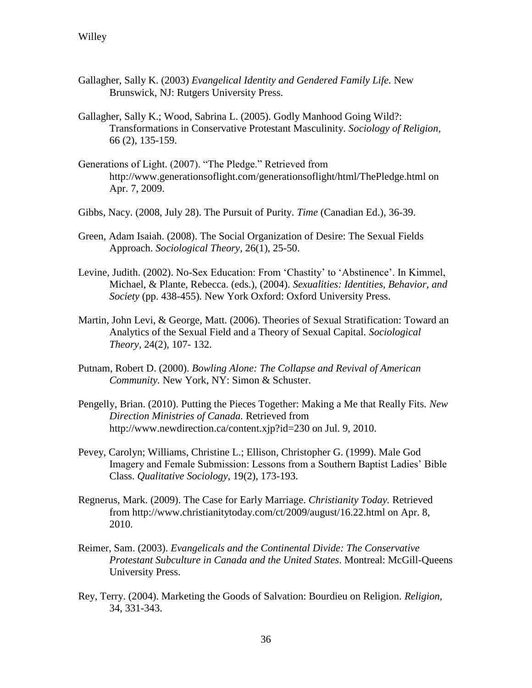- Gallagher, Sally K. (2003) *Evangelical Identity and Gendered Family Life.* New Brunswick, NJ: Rutgers University Press.
- Gallagher, Sally K.; Wood, Sabrina L. (2005). Godly Manhood Going Wild?: Transformations in Conservative Protestant Masculinity. *Sociology of Religion,*  66 (2), 135-159.
- Generations of Light. (2007). "The Pledge." Retrieved from http://www.generationsoflight.com/generationsoflight/html/ThePledge.html on Apr. 7, 2009.
- Gibbs, Nacy. (2008, July 28). The Pursuit of Purity. *Time* (Canadian Ed.), 36-39.
- Green, Adam Isaiah. (2008). The Social Organization of Desire: The Sexual Fields Approach. *Sociological Theory,* 26(1), 25-50.
- Levine, Judith. (2002). No-Sex Education: From 'Chastity' to 'Abstinence'. In Kimmel, Michael, & Plante, Rebecca. (eds.), (2004). *Sexualities: Identities, Behavior, and Society* (pp. 438-455)*.* New York Oxford: Oxford University Press.
- Martin, John Levi, & George, Matt. (2006). Theories of Sexual Stratification: Toward an Analytics of the Sexual Field and a Theory of Sexual Capital. *Sociological Theory,* 24(2), 107- 132.
- Putnam, Robert D. (2000). *Bowling Alone: The Collapse and Revival of American Community.* New York, NY: Simon & Schuster.
- Pengelly, Brian. (2010). Putting the Pieces Together: Making a Me that Really Fits. *New Direction Ministries of Canada.* Retrieved from http://www.newdirection.ca/content.xjp?id=230 on Jul. 9, 2010.
- Pevey, Carolyn; Williams, Christine L.; Ellison, Christopher G. (1999). Male God Imagery and Female Submission: Lessons from a Southern Baptist Ladies' Bible Class. *Qualitative Sociology*, 19(2), 173-193.
- Regnerus, Mark. (2009). The Case for Early Marriage. *Christianity Today.* Retrieved from http://www.christianitytoday.com/ct/2009/august/16.22.html on Apr. 8, 2010.
- Reimer, Sam. (2003). *Evangelicals and the Continental Divide: The Conservative Protestant Subculture in Canada and the United States*. Montreal: McGill-Queens University Press.
- Rey, Terry. (2004). Marketing the Goods of Salvation: Bourdieu on Religion. *Religion,* 34, 331-343.